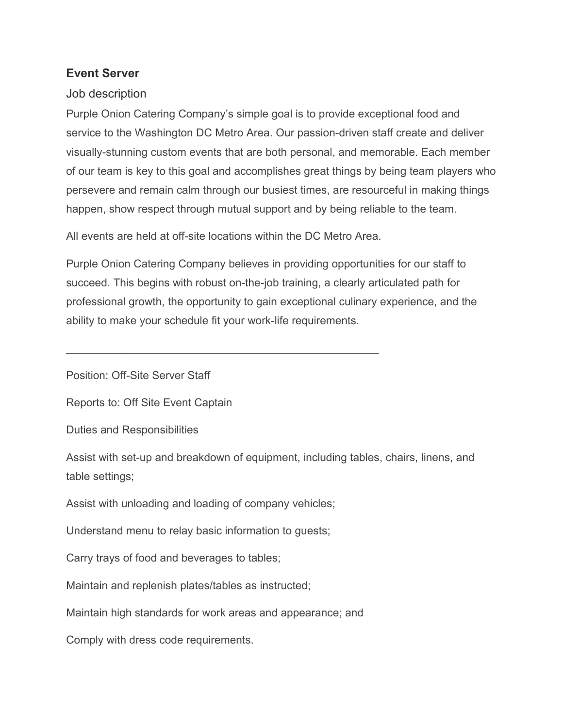## **Event Server**

## Job description

Purple Onion Catering Company's simple goal is to provide exceptional food and service to the Washington DC Metro Area. Our passion-driven staff create and deliver visually-stunning custom events that are both personal, and memorable. Each member of our team is key to this goal and accomplishes great things by being team players who persevere and remain calm through our busiest times, are resourceful in making things happen, show respect through mutual support and by being reliable to the team.

All events are held at off-site locations within the DC Metro Area.

\_\_\_\_\_\_\_\_\_\_\_\_\_\_\_\_\_\_\_\_\_\_\_\_\_\_\_\_\_\_\_\_\_\_\_\_\_\_\_\_\_\_\_\_\_\_\_\_\_\_\_

Purple Onion Catering Company believes in providing opportunities for our staff to succeed. This begins with robust on-the-job training, a clearly articulated path for professional growth, the opportunity to gain exceptional culinary experience, and the ability to make your schedule fit your work-life requirements.

Position: Off-Site Server Staff

Reports to: Off Site Event Captain

Duties and Responsibilities

Assist with set-up and breakdown of equipment, including tables, chairs, linens, and table settings;

Assist with unloading and loading of company vehicles;

Understand menu to relay basic information to guests;

Carry trays of food and beverages to tables;

Maintain and replenish plates/tables as instructed;

Maintain high standards for work areas and appearance; and

Comply with dress code requirements.